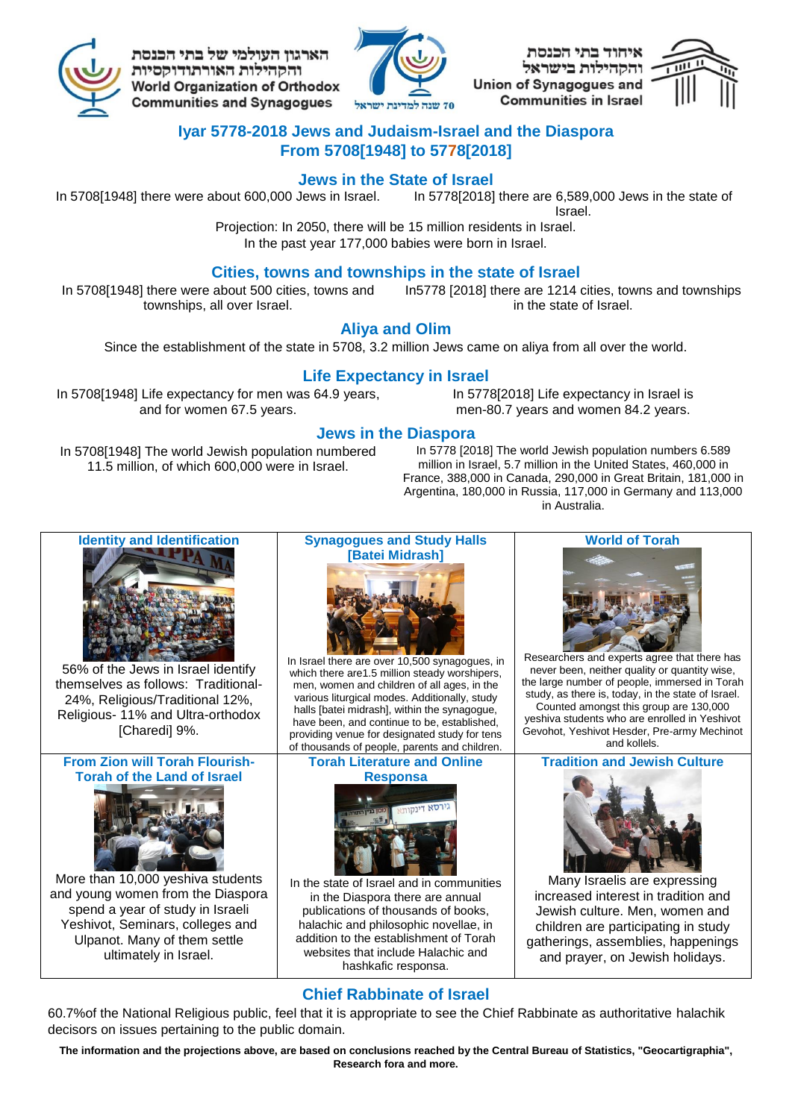

הארגוו העולמי של בתי הכנסת והקהילות האורתודוקסיות **World Organization of Orthodox Communities and Synagogues** 



**Union of Synagogues and Communities in Israel** 



# **Iyar 5778-2018 Jews and Judaism-Israel and the Diaspora From 5708[1948] to 5778[2018]**

# **Jews in the State of Israel**

In 5708[1948] there were about 600,000 Jews in Israel. In 5778[2018] there are 6,589,000 Jews in the state of

Israel. Projection: In 2050, there will be 15 million residents in Israel. In the past year 177,000 babies were born in Israel.

# **Cities, towns and townships in the state of Israel**

In 5708[1948] there were about 500 cities, towns and townships, all over Israel.

#### In5778 [2018] there are 1214 cities, towns and townships in the state of Israel.

In 5778[2018] Life expectancy in Israel is men-80.7 years and women 84.2 years.

# **Aliya and Olim**

Since the establishment of the state in 5708, 3.2 million Jews came on aliya from all over the world.

# **Life Expectancy in Israel**

In 5708[1948] Life expectancy for men was 64.9 years, and for women 67.5 years.

**Jews in the Diaspora** In 5708[1948] The world Jewish population numbered

11.5 million, of which 600,000 were in Israel. In 5778 [2018] The world Jewish population numbers 6.589 million in Israel, 5.7 million in the United States, 460,000 in France, 388,000 in Canada, 290,000 in Great Britain, 181,000 in Argentina, 180,000 in Russia, 117,000 in Germany and 113,000 in Australia.



56% of the Jews in Israel identify themselves as follows: Traditional-24%, Religious/Traditional 12%, Religious- 11% and Ultra-orthodox [Charedi] 9%.

# **From Zion will Torah Flourish-Torah of the Land of Israel**



More than 10,000 yeshiva students and young women from the Diaspora spend a year of study in Israeli Yeshivot, Seminars, colleges and Ulpanot. Many of them settle ultimately in Israel.

#### **Synagogues and Study Halls [Batei Midrash]**



In Israel there are over 10,500 synagogues, in which there are1.5 million steady worshipers, men, women and children of all ages, in the various liturgical modes. Additionally, study halls [batei midrash], within the synagogue, have been, and continue to be, established, providing venue for designated study for tens of thousands of people, parents and children.

#### **Torah Literature and Online Responsa**



In the state of Israel and in communities in the Diaspora there are annual publications of thousands of books, halachic and philosophic novellae, in addition to the establishment of Torah websites that include Halachic and hashkafic responsa.



Researchers and experts agree that there has never been, neither quality or quantity wise, the large number of people, immersed in Torah study, as there is, today, in the state of Israel. Counted amongst this group are 130,000 yeshiva students who are enrolled in Yeshivot Gevohot, Yeshivot Hesder, Pre-army Mechinot and kollels.

# **Tradition and Jewish Culture**



Many Israelis are expressing increased interest in tradition and Jewish culture. Men, women and children are participating in study gatherings, assemblies, happenings and prayer, on Jewish holidays.

# **Chief Rabbinate of Israel**

60.7%of the National Religious public, feel that it is appropriate to see the Chief Rabbinate as authoritative halachik decisors on issues pertaining to the public domain.

**The information and the projections above, are based on conclusions reached by the Central Bureau of Statistics, "Geocartigraphia", Research fora and more.**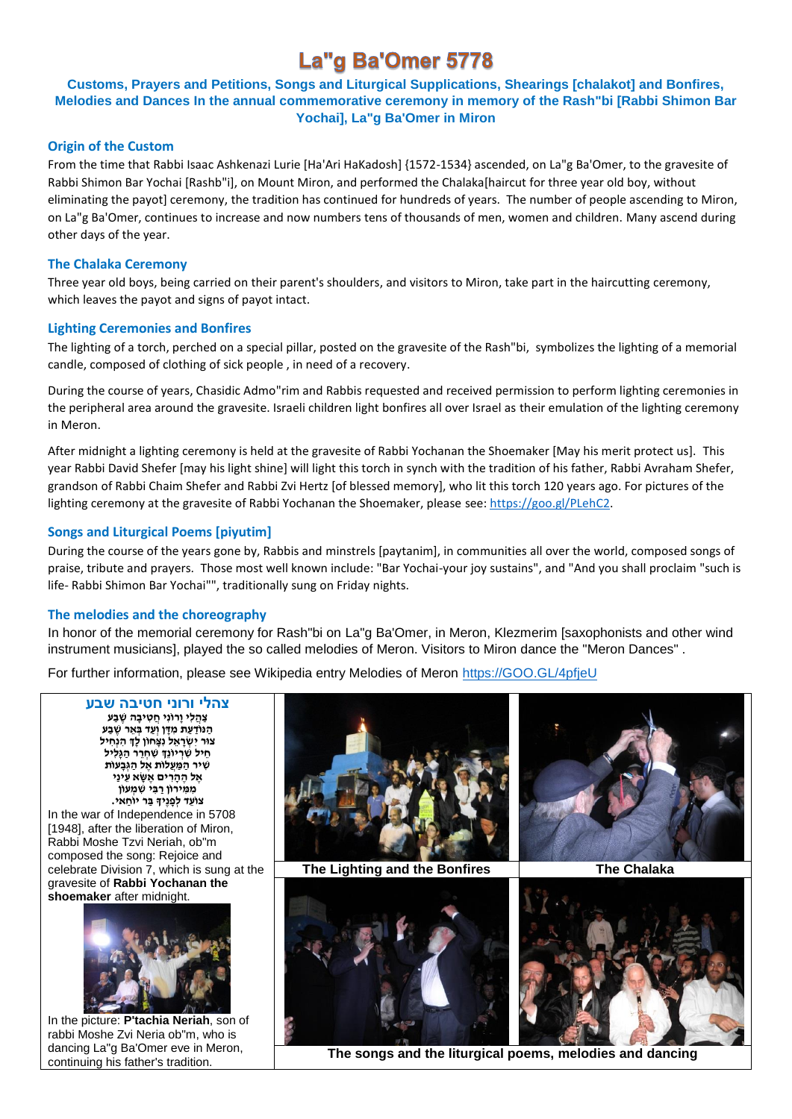# La"g Ba'Omer 5778

**Customs, Prayers and Petitions, Songs and Liturgical Supplications, Shearings [chalakot] and Bonfires, Melodies and Dances In the annual commemorative ceremony in memory of the Rash"bi [Rabbi Shimon Bar Yochai], La"g Ba'Omer in Miron**

### **Origin of the Custom**

From the time that Rabbi Isaac Ashkenazi Lurie [Ha'Ari HaKadosh] {1572-1534} ascended, on La"g Ba'Omer, to the gravesite of Rabbi Shimon Bar Yochai [Rashb"i], on Mount Miron, and performed the Chalaka[haircut for three year old boy, without eliminating the payot] ceremony, the tradition has continued for hundreds of years. The number of people ascending to Miron, on La"g Ba'Omer, continues to increase and now numbers tens of thousands of men, women and children. Many ascend during other days of the year.

### **The Chalaka Ceremony**

Three year old boys, being carried on their parent's shoulders, and visitors to Miron, take part in the haircutting ceremony, which leaves the payot and signs of payot intact.

# **Lighting Ceremonies and Bonfires**

The lighting of a torch, perched on a special pillar, posted on the gravesite of the Rash"bi, symbolizes the lighting of a memorial candle, composed of clothing of sick people , in need of a recovery.

During the course of years, Chasidic Admo"rim and Rabbis requested and received permission to perform lighting ceremonies in the peripheral area around the gravesite. Israeli children light bonfires all over Israel as their emulation of the lighting ceremony in Meron.

After midnight a lighting ceremony is held at the gravesite of Rabbi Yochanan the Shoemaker [May his merit protect us]. This year Rabbi David Shefer [may his light shine] will light this torch in synch with the tradition of his father, Rabbi Avraham Shefer, grandson of Rabbi Chaim Shefer and Rabbi Zvi Hertz [of blessed memory], who lit this torch 120 years ago. For pictures of the lighting ceremony at the gravesite of Rabbi Yochanan the Shoemaker, please see[: https://goo.gl/PLehC2.](https://goo.gl/PLehC2)

# **Songs and Liturgical Poems [piyutim]**

During the course of the years gone by, Rabbis and minstrels [paytanim], in communities all over the world, composed songs of praise, tribute and prayers. Those most well known include: "Bar Yochai-your joy sustains", and "And you shall proclaim "such is life- Rabbi Shimon Bar Yochai"", traditionally sung on Friday nights.

#### **The melodies and the choreography**

In honor of the memorial ceremony for Rash"bi on La"g Ba'Omer, in Meron, Klezmerim [saxophonists and other wind instrument musicians], played the so called melodies of Meron. Visitors to Miron dance the "Meron Dances" .

For further information, please see Wikipedia entry Melodies of Meron [https://GOO.GL/4pfjeU](https://goo.gl/4pfjeU)

**צהלי ורוני חטיבה שבע צַ הֲ לִ י וָרוֹנִי חֲ טִ יבָ ה שֶ בַ ע** הַ **ּנוֹדַעַת מִדָּן וְעַד בְּאֵר** שֶׁבַע **צּור יִ שְ רָ אֵ ל נִצָ חוֹן לְָך הִ נְחִ יל חֵ יל שִ רְ יוֹנְֵך שִ חְ רֵ ר הַ גָלִ יל שִ יר הַ מַ עֲלוֹת אֶ ל הַ גְ בָ עוֹת אֶ ל הֶ הָ רִ ים אֶ שָ א עֵ ינַי מִ מִ ירוֹן רַ בִ י שִ מְ עוֹן צוֹעֵ ד לְ פָ נֶיָך בַ ר יוֹחַ אי.** In the war of Independence in 5708 [1948], after the liberation of Miron, Rabbi Moshe Tzvi Neriah, ob"m

composed the song: Rejoice and celebrate Division 7, which is sung at the gravesite of **Rabbi Yochanan the shoemaker** after midnight.



In the picture: **P'tachia Neriah**, son of rabbi Moshe Zvi Neria ob"m, who is dancing La"g Ba'Omer eve in Meron, continuing his father's tradition.



**The songs and the liturgical poems, melodies and dancing**